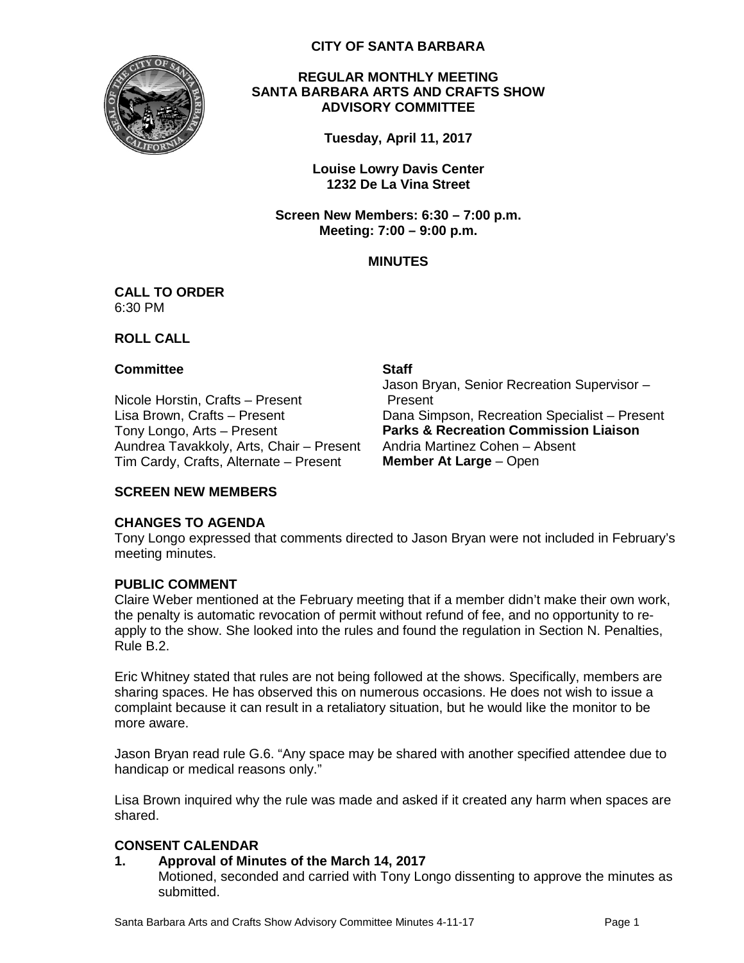

## **CITY OF SANTA BARBARA**

## **REGULAR MONTHLY MEETING SANTA BARBARA ARTS AND CRAFTS SHOW ADVISORY COMMITTEE**

**Tuesday, April 11, 2017**

**Louise Lowry Davis Center 1232 De La Vina Street**

**Screen New Members: 6:30 – 7:00 p.m. Meeting: 7:00 – 9:00 p.m.**

# **MINUTES**

#### **CALL TO ORDER** 6:30 PM

**ROLL CALL**

## **Committee Staff**

Nicole Horstin, Crafts – Present Aundrea Tavakkoly, Arts, Chair – Present Tim Cardy, Crafts, Alternate – Present **Member At Large** – Open

Jason Bryan, Senior Recreation Supervisor – Present Lisa Brown, Crafts – Present **Dana Simpson, Recreation Specialist** – Present<br>Tony Longo, Arts – Present **Parks & Recreation Commission Liaison Parks & Recreation Commission Liaison**<br>Andria Martinez Cohen – Absent

# **SCREEN NEW MEMBERS**

# **CHANGES TO AGENDA**

Tony Longo expressed that comments directed to Jason Bryan were not included in February's meeting minutes.

# **PUBLIC COMMENT**

Claire Weber mentioned at the February meeting that if a member didn't make their own work, the penalty is automatic revocation of permit without refund of fee, and no opportunity to reapply to the show. She looked into the rules and found the regulation in Section N. Penalties, Rule B.2.

Eric Whitney stated that rules are not being followed at the shows. Specifically, members are sharing spaces. He has observed this on numerous occasions. He does not wish to issue a complaint because it can result in a retaliatory situation, but he would like the monitor to be more aware.

Jason Bryan read rule G.6. "Any space may be shared with another specified attendee due to handicap or medical reasons only."

Lisa Brown inquired why the rule was made and asked if it created any harm when spaces are shared.

# **CONSENT CALENDAR**

# **1. Approval of Minutes of the March 14, 2017**

Motioned, seconded and carried with Tony Longo dissenting to approve the minutes as submitted.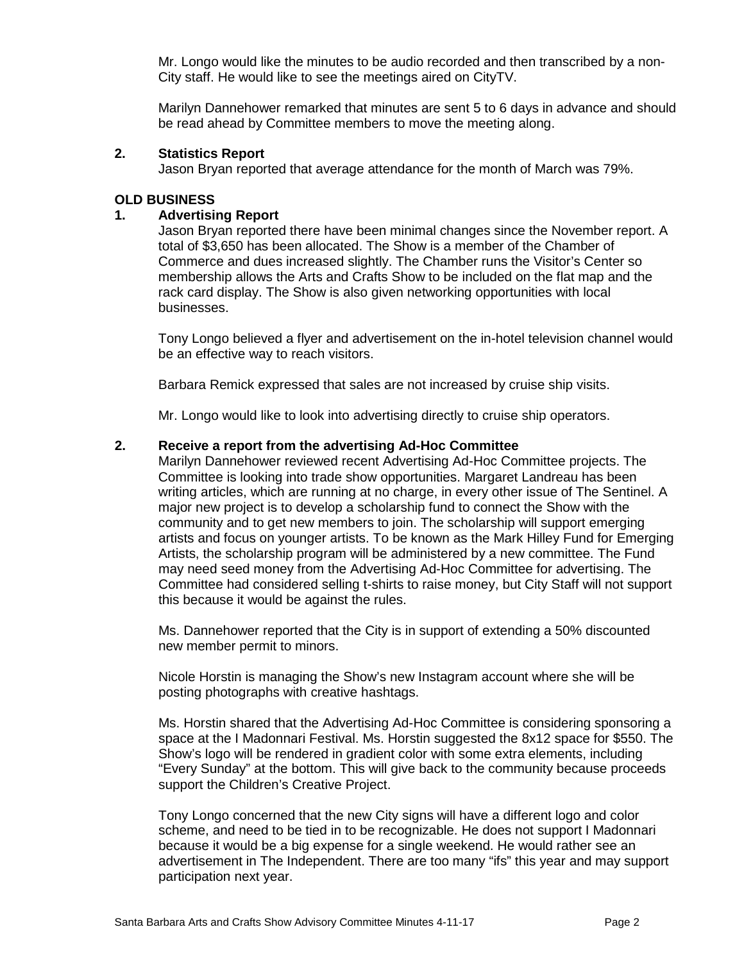Mr. Longo would like the minutes to be audio recorded and then transcribed by a non-City staff. He would like to see the meetings aired on CityTV.

Marilyn Dannehower remarked that minutes are sent 5 to 6 days in advance and should be read ahead by Committee members to move the meeting along.

# **2. Statistics Report**

Jason Bryan reported that average attendance for the month of March was 79%.

## **OLD BUSINESS**

## **1. Advertising Report**

Jason Bryan reported there have been minimal changes since the November report. A total of \$3,650 has been allocated. The Show is a member of the Chamber of Commerce and dues increased slightly. The Chamber runs the Visitor's Center so membership allows the Arts and Crafts Show to be included on the flat map and the rack card display. The Show is also given networking opportunities with local businesses.

Tony Longo believed a flyer and advertisement on the in-hotel television channel would be an effective way to reach visitors.

Barbara Remick expressed that sales are not increased by cruise ship visits.

Mr. Longo would like to look into advertising directly to cruise ship operators.

## **2. Receive a report from the advertising Ad-Hoc Committee**

Marilyn Dannehower reviewed recent Advertising Ad-Hoc Committee projects. The Committee is looking into trade show opportunities. Margaret Landreau has been writing articles, which are running at no charge, in every other issue of The Sentinel. A major new project is to develop a scholarship fund to connect the Show with the community and to get new members to join. The scholarship will support emerging artists and focus on younger artists. To be known as the Mark Hilley Fund for Emerging Artists, the scholarship program will be administered by a new committee. The Fund may need seed money from the Advertising Ad-Hoc Committee for advertising. The Committee had considered selling t-shirts to raise money, but City Staff will not support this because it would be against the rules.

Ms. Dannehower reported that the City is in support of extending a 50% discounted new member permit to minors.

Nicole Horstin is managing the Show's new Instagram account where she will be posting photographs with creative hashtags.

Ms. Horstin shared that the Advertising Ad-Hoc Committee is considering sponsoring a space at the I Madonnari Festival. Ms. Horstin suggested the 8x12 space for \$550. The Show's logo will be rendered in gradient color with some extra elements, including "Every Sunday" at the bottom. This will give back to the community because proceeds support the Children's Creative Project.

Tony Longo concerned that the new City signs will have a different logo and color scheme, and need to be tied in to be recognizable. He does not support I Madonnari because it would be a big expense for a single weekend. He would rather see an advertisement in The Independent. There are too many "ifs" this year and may support participation next year.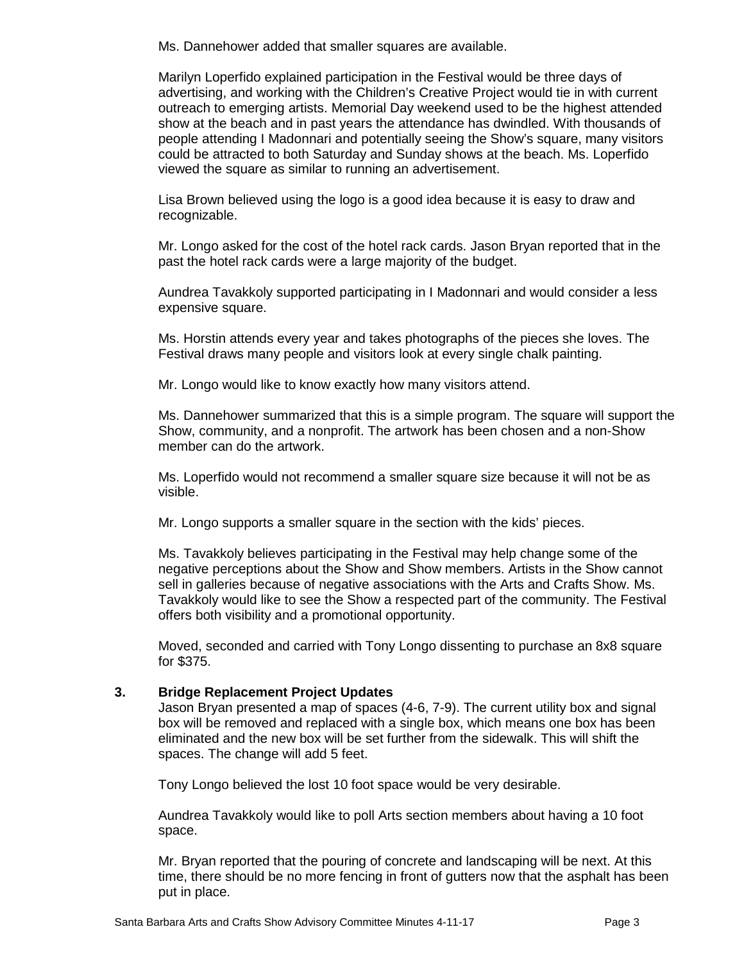Ms. Dannehower added that smaller squares are available.

Marilyn Loperfido explained participation in the Festival would be three days of advertising, and working with the Children's Creative Project would tie in with current outreach to emerging artists. Memorial Day weekend used to be the highest attended show at the beach and in past years the attendance has dwindled. With thousands of people attending I Madonnari and potentially seeing the Show's square, many visitors could be attracted to both Saturday and Sunday shows at the beach. Ms. Loperfido viewed the square as similar to running an advertisement.

Lisa Brown believed using the logo is a good idea because it is easy to draw and recognizable.

Mr. Longo asked for the cost of the hotel rack cards. Jason Bryan reported that in the past the hotel rack cards were a large majority of the budget.

Aundrea Tavakkoly supported participating in I Madonnari and would consider a less expensive square.

Ms. Horstin attends every year and takes photographs of the pieces she loves. The Festival draws many people and visitors look at every single chalk painting.

Mr. Longo would like to know exactly how many visitors attend.

Ms. Dannehower summarized that this is a simple program. The square will support the Show, community, and a nonprofit. The artwork has been chosen and a non-Show member can do the artwork.

Ms. Loperfido would not recommend a smaller square size because it will not be as visible.

Mr. Longo supports a smaller square in the section with the kids' pieces.

Ms. Tavakkoly believes participating in the Festival may help change some of the negative perceptions about the Show and Show members. Artists in the Show cannot sell in galleries because of negative associations with the Arts and Crafts Show. Ms. Tavakkoly would like to see the Show a respected part of the community. The Festival offers both visibility and a promotional opportunity.

Moved, seconded and carried with Tony Longo dissenting to purchase an 8x8 square for \$375.

# **3. Bridge Replacement Project Updates**

Jason Bryan presented a map of spaces (4-6, 7-9). The current utility box and signal box will be removed and replaced with a single box, which means one box has been eliminated and the new box will be set further from the sidewalk. This will shift the spaces. The change will add 5 feet.

Tony Longo believed the lost 10 foot space would be very desirable.

Aundrea Tavakkoly would like to poll Arts section members about having a 10 foot space.

Mr. Bryan reported that the pouring of concrete and landscaping will be next. At this time, there should be no more fencing in front of gutters now that the asphalt has been put in place.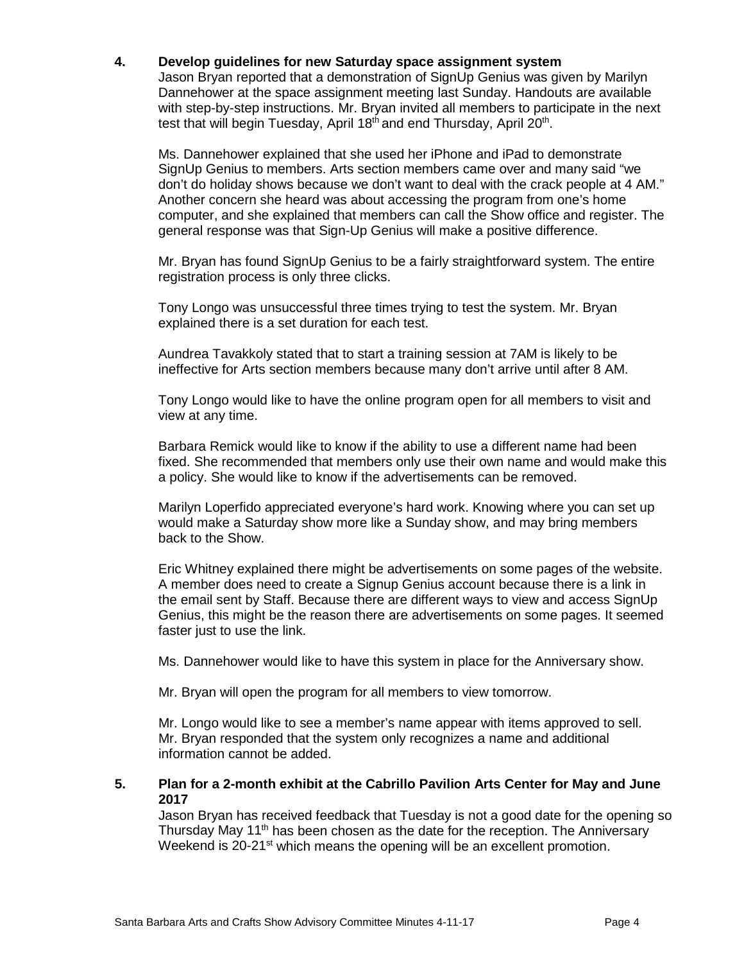# **4. Develop guidelines for new Saturday space assignment system**

Jason Bryan reported that a demonstration of SignUp Genius was given by Marilyn Dannehower at the space assignment meeting last Sunday. Handouts are available with step-by-step instructions. Mr. Bryan invited all members to participate in the next test that will begin Tuesday, April 18<sup>th</sup> and end Thursday, April 20<sup>th</sup>.

Ms. Dannehower explained that she used her iPhone and iPad to demonstrate SignUp Genius to members. Arts section members came over and many said "we don't do holiday shows because we don't want to deal with the crack people at 4 AM." Another concern she heard was about accessing the program from one's home computer, and she explained that members can call the Show office and register. The general response was that Sign-Up Genius will make a positive difference.

Mr. Bryan has found SignUp Genius to be a fairly straightforward system. The entire registration process is only three clicks.

Tony Longo was unsuccessful three times trying to test the system. Mr. Bryan explained there is a set duration for each test.

Aundrea Tavakkoly stated that to start a training session at 7AM is likely to be ineffective for Arts section members because many don't arrive until after 8 AM.

Tony Longo would like to have the online program open for all members to visit and view at any time.

Barbara Remick would like to know if the ability to use a different name had been fixed. She recommended that members only use their own name and would make this a policy. She would like to know if the advertisements can be removed.

Marilyn Loperfido appreciated everyone's hard work. Knowing where you can set up would make a Saturday show more like a Sunday show, and may bring members back to the Show.

Eric Whitney explained there might be advertisements on some pages of the website. A member does need to create a Signup Genius account because there is a link in the email sent by Staff. Because there are different ways to view and access SignUp Genius, this might be the reason there are advertisements on some pages. It seemed faster just to use the link.

Ms. Dannehower would like to have this system in place for the Anniversary show.

Mr. Bryan will open the program for all members to view tomorrow.

Mr. Longo would like to see a member's name appear with items approved to sell. Mr. Bryan responded that the system only recognizes a name and additional information cannot be added.

#### **5. Plan for a 2-month exhibit at the Cabrillo Pavilion Arts Center for May and June 2017**

Jason Bryan has received feedback that Tuesday is not a good date for the opening so Thursday May 11<sup>th</sup> has been chosen as the date for the reception. The Anniversary Weekend is 20-21<sup>st</sup> which means the opening will be an excellent promotion.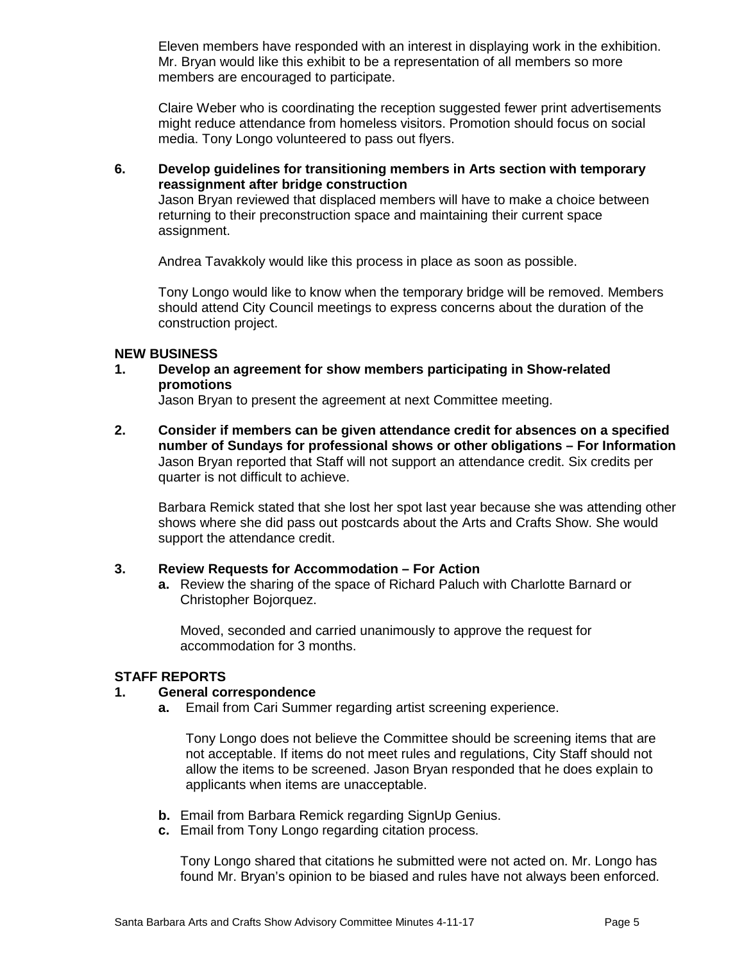Eleven members have responded with an interest in displaying work in the exhibition. Mr. Bryan would like this exhibit to be a representation of all members so more members are encouraged to participate.

Claire Weber who is coordinating the reception suggested fewer print advertisements might reduce attendance from homeless visitors. Promotion should focus on social media. Tony Longo volunteered to pass out flyers.

**6. Develop guidelines for transitioning members in Arts section with temporary reassignment after bridge construction** 

Jason Bryan reviewed that displaced members will have to make a choice between returning to their preconstruction space and maintaining their current space assignment.

Andrea Tavakkoly would like this process in place as soon as possible.

Tony Longo would like to know when the temporary bridge will be removed. Members should attend City Council meetings to express concerns about the duration of the construction project.

#### **NEW BUSINESS**

**1. Develop an agreement for show members participating in Show-related promotions** 

Jason Bryan to present the agreement at next Committee meeting.

**2. Consider if members can be given attendance credit for absences on a specified number of Sundays for professional shows or other obligations – For Information** Jason Bryan reported that Staff will not support an attendance credit. Six credits per quarter is not difficult to achieve.

Barbara Remick stated that she lost her spot last year because she was attending other shows where she did pass out postcards about the Arts and Crafts Show. She would support the attendance credit.

#### **3. Review Requests for Accommodation – For Action**

**a.** Review the sharing of the space of Richard Paluch with Charlotte Barnard or Christopher Bojorquez.

Moved, seconded and carried unanimously to approve the request for accommodation for 3 months.

#### **STAFF REPORTS**

#### **1. General correspondence**

**a.** Email from Cari Summer regarding artist screening experience.

Tony Longo does not believe the Committee should be screening items that are not acceptable. If items do not meet rules and regulations, City Staff should not allow the items to be screened. Jason Bryan responded that he does explain to applicants when items are unacceptable.

- **b.** Email from Barbara Remick regarding SignUp Genius.
- **c.** Email from Tony Longo regarding citation process.

Tony Longo shared that citations he submitted were not acted on. Mr. Longo has found Mr. Bryan's opinion to be biased and rules have not always been enforced.